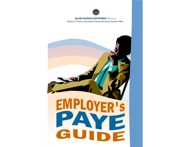

#### **INLAND REVENUE DEPARTMENT** *St. Lucia* Ministry of Finance, International Financial Services & Economic Affairs

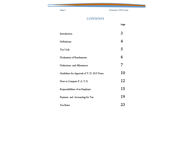Page 2 **Employee's PAYE Guide** 

## **CONTENTS**

|                                           | Page                    |
|-------------------------------------------|-------------------------|
| Introduction                              | 3                       |
| Definitions:                              | $\overline{\mathbf{4}}$ |
| Tax Code                                  | 5                       |
| Declaration of Emoluments                 | 6                       |
| Deductions and Allowances:                | $\overline{7}$          |
| Guidelines for Approval of T. D. AUI Form | 10                      |
| How to Compute P. A. Y. E                 | 12                      |
| Responsibilities of an Employer           | 15                      |
| Payment and Accounting for Tax            | 19                      |
| <b>Tax Rates</b>                          | 23                      |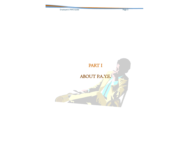Employee's PAYE Guide **Page 3** 

# PART I

## ABOUT P.A.Y.E.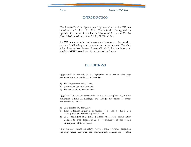Page 4 Employee's PAYE Guide

#### **INTRODUCTION**

The Pay-As-You-Earn System popularly referred to as P.A.Y.E. was introduced in St. Lucia in 1965. The legislation dealing with its operation is contained in the Fourth Schedule of the Income Tax Act Chap. 15.02, as well as sections 75, 76, 77, 78 and 143.

P.A.Y.E. is not a method of assessment of income tax, but merely a system of withholding tax from emoluments as they are paid. Therefore, although tax has been deducted by way of P.A.Y.E. from emoluments, an employee MUST nevertheless, file an Income Tax Return.

#### **DEFINITIONS**

"Employer" is defined in the legislation as a person who pays remuneration to an employee and includes -

- a) the Government of St. Lucia;
- b) a representative employer; and
- c) the trustee of any pension fund

**"Employee"** means any person who, in respect of employment, receives remuneration from an employer, and includes any person to whom remuneration accrues -

- a) as a director of a company;
- b) from a former employer or trustee of a pension fund, as a consequence of a former employment; or
- c) as a dependent of a deceased person where such remuneration accrued to that dependent as a consequence of the former employment of the deceased.

"Emoluments" means all salary, wages, bonus, overtime, perquisites including house allowance and entertainment, commission or other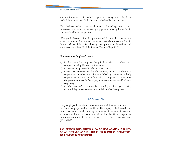amounts for services, director's fees, pensions arising or accruing in or derived from or received in St. Lucia and which is liable to income tax.

This shall not include salary or share of profits arising from a trade, profession or vocation carried on by any person either by himself or in partnership with another person.

"Chargeable Income" for the purposes of Income Tax, means the aggregate amount of income of any person from the sources specified in Section 32 remaining after allowing the appropriate deductions and allowances under Part III of the Income Tax Act Chap. 15.02.

#### "Representative Employer" means -

- a) in the case of a company, the principle officer or, where such company is in liquidation, the liquidator;
- b) in the case of a partnership, the precedent partner;
- c) where the employer is the Government, a local authority, a corporation or other authority established by statute or a body corporate or un-incorporate (not being a company or partnership), the person responsible for paying remuneration on behalf of such employer;
- d) in the case of a non-resident employer, the agent having responsibility to pay remuneration on behalf of such employer.

#### **TAX CODE**

Every employee from whose emolument tax is deductible, is required to furnish his employer with a Tax Code. The employer shall record and utilize that number in determining the amount of tax to be deducted in accordance with the Tax Deduction Tables. The Tax Code is dependant on the declaration made by the employee on the Tax Declaration Form  $(TD-AU-I)$ .

#### **ANY PERSON WHO MAKES A FALSE DECLARATION IS GUILTY OF AN OFFENSE AND IS LIABLE, ON SUMMARY CONVICTION, TO A FINE OR IMPRISONMENT.**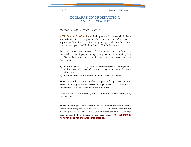#### **DECLARATION OF DEDUCTIONS AND ALLOWANCES**

Tax Declaration Form (TD Form AU - 1)

A **TD Form AU-I (Code Form)** is the prescribed form on which claims are declared. It was designed solely for the purpose of making the appropriate deduction of tax from salary or wages. After the Declaration is made the employee will be issued with a Tax Code Number.

Since this information is necessary for the correct amount of tax to be deducted, each employee, on taking up employment, is required by Law to file a declaration of his deductions and allowances with the Department -

- a) within fourteen (14) days from the commencement of employment;
- b) within seven (7) days, if there is a change in tax deductions/ allowances;
- c) when required to do so by the Inland Revenue Department.

Where an employee has more than one place of employment or is in receipt of both pension and salary or wages, details of each source of income must be stated separately on the same form.

In such cases, a Code Number, must be submitted to each employer by the employee.

Where an employee fails to submit a tax code number, the employer must deduct taxes using the basic tax code—174. This means that the tax deducted will be in excess of the amount which would normally have been deducted if a declaration had been filed. **The Department, however, does not encourage this practice.**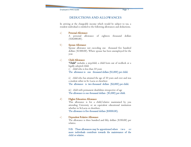#### **DEDUCTIONS AND ALLOWANCES**

In arriving at the chargeable income which would be subject to tax, a resident individual is entitled to the following allowances and deductions.

#### a) Personal Allowance

 A personal allowance of eighteen thousand dollars  $$18,000.00$ ).

#### b) Spouse Allowance

 Spouse allowance not exceeding one thousand five hundred dollars (\$1500.00). Where spouse has been unemployed for the year.

#### c) Child Allowance

"Child" includes a stepchild, a child born out of wedlock or a legally adopted child.

i) child who is less than 10 years

The allowance is one thousand dollars (\$1,000) per child.

ii) child who has attained the age of 10 years and over and was a student either in St. Lucia or elsewhere

The allowance is two thousand dollars (\$2,000) per child.

iii) child with permanent disabilities irrespective of age The allowance is one thousand dollars (\$1,000) per child.

#### d) Higher Education Allowance

This allowance is for a child/relative maintained by you attending University or an equivalent educational institution whether in St.Lucia or elsewhere.

The allowance is five thousand dollars (\$5000.00).

#### e) Dependent Relative Allowance

 The allowance is three hundred and fifty dollars (\$350.00) per relative.

N.B. These allowances may be apportioned where two or more individuals contribute towards the maintenance of the child or relative.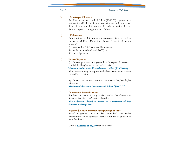#### f) Housekeeper Allowance

 An allowance of two hundred dollars (\$200.00) is granted to a resident individual who is a widow/widower or is unmarried, divorced or separated, in respect of relative maintained by you for the purpose of caring for your children.

#### g) Life Insurance

Contributions to a life insurance plan on one's life or h i s / h e r spouse or children. Deduction allowed is restricted to the lower of:

- i) one tenth of his/her assessable income or
- ii) eight thousand dollars (\$8,000) or
- iii) Actual payment.

#### h) Interest Payments

i) Interest paid on a mortgage or loan in respect of an owner ccupied dwelling house situated in St. Lucia.

#### Maximum deduction is fifteen thousand dollars (\$18000.00).

This deduction may be apportioned where two or more persons are entitled to claim.

ii) Interest on money borrowed to finance his/her higher education.

Maximum deduction is three thousand dollars (\$3000.00)

#### i) Co operative Society Payments

Purchase of shares in any society under the Cooperative Societies Act No. 11 of 1999 is allowable.

The deduction allowed is limited to a maximum of Five thousand dollars (\$5,000).

#### j) Registered Home Ownership Savings Plan (RHOSP)

Relief is granted to a resident individual who makes contributions to an approved RHOSP for the acquisition of your first home.

Up to a maximum of \$6,000 may be claimed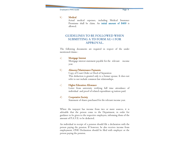#### Employee's PAYE Guide Page 9

#### k) Medical

 Actual medical expenses, including Medical Insurance Premiums shall be claim. An initial amount of \$400 is allowed.

#### **GUIDELINES TO BE FOLLOWED WHEN SUBMITTING A TD FORM AU-1 FOR APPROVAL.**

The following documents are required in respect of the under mentioned claims :

#### a) Mortgage Interest

Mortgage interest statement payable for the relevant income year.

#### b) Alimony/Maintenance Payments

 Copy of Court Order or Deed of Separation This deduction is granted only to a former spouse. It does not refer to nor include common law relationships.

#### c) Higher Education Allowance

 Letter from university verifying full time attendance of individual and proof of related expenditure eg tuition paid.

#### d) Cooperative Society

Statement of shares purchased for the relevant income year.

Where the taxpayer has income from two or more sources, it is advisable that the person come to the Department, in order for guidance to be given to the respective employers, informing them of the amount of P.A.Y.E. to be deducted.

An individual in receipt of a pension should file a declaration with the person paying the pension. If however, he also receives income from employment, ONE Declaration should be filed with employer or the person paying the pension.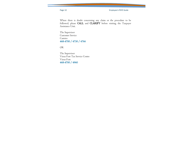Page 10 Employee's PAYE Guide

Where there is doubt concerning any claim or the procedure to be followed, please CALL and CLARIFY before visiting, the Taxpayer Assistance Unit.

The Supervisor Customer Service Castries 468-4700 / 4730 / 4766

OR

The Supervisor Vieux Fort Tax Service Centre Vieux Fort 468-4700 / 4960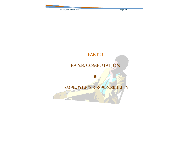Employee's PAYE Guide **Page 11** 

# PART II P.A.Y.E. COMPUTATION

&

Í

# EMPLOYER'S RESPONSIBILITY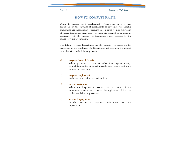### **HOW TO COMPUTE P.A.Y.E.**

Under the Income Tax ( Employment ) Rules every employer shall deduct tax on the payment of emoluments to any employee. Taxable emoluments are those arising or accruing in or derived from or received in St. Lucia. Deductions from salary or wages are required to be made in accordance with the Income Tax Deduction Tables prepared by the Inland Revenue Department.

The Inland Revenue Department has the authority to adjust the tax deductions of any employee. The Department will determine the amount to be deducted in the following cases :

#### a) Irregular Payment Periods

Where payment is made at other than regular weekly, fortnightly, monthly or annual intervals; (eg. Persons paid on a commission basis only)

#### b) Irregular Employment

In the case of casual or seasonal workers

#### c) Income Variations

Where the Department decides that the nature of the emolument is such that it makes the application of the Tax Deduction Tables impracticable;

#### d) Various Employments

In the case of an employee with more than one employment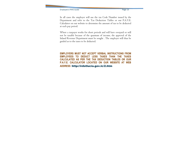In all cases the employer will use the tax Code Number issued by the Department and refer to the Tax Deduction Tables or our P.A.Y.E. Calculator on our website to determine the amount of tax to be deducted at each pay period.

Where a taxpayer works for short periods and will have overpaid or will not be taxable because of the quantum of income, the approval of the Inland Revenue Department must be sought . The employer will thus be guided as to the taxes to be deducted.

**EMPLOYERS MUST NOT ACCEPT VERBAL INSTRUCTIONS FROM EMPLOYEES TO DEDUCT LESS TAXES THAN THE TAXES CALCULATED AS PER THE TAX DEDUCTION TABLES OR OUR P.A.Y.E. CALCULATOR LOCATED ON OUR WEBSITE AT WEB ADDRESS** http://irdstlucia.gov.lc/2.htm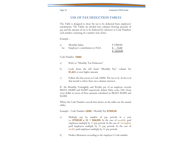## **USE OF TAX DEDUCTION TABLES**

The Table is designed to show the tax to be deducted from employees' emoluments. The Tables are divided into columns showing amounts of pay and the amount of tax to be deducted by reference to Code Numbers each number consisting of a number and a letter.

Example :

| a)   | Monthly Salary                    | \$1500.00 |
|------|-----------------------------------|-----------|
| less | Employee's contribution to N.I.S. | \$ 75.00  |
|      |                                   | \$1425.00 |

Code Number 184M

- a) Refer to "Monthly Tax Deduction"
- b) Look down the left hand "Monthly Pay" column for \$1,425 or next higher amount.
- c) Follow this line across to Code 184M. The tax to be deducted that month is where these two columns intersect.

If the Monthly, Fortnightly and Weekly pay of an employee exceeds \$8,015, \$4,000 and \$2,005 respectively deduct thirty cents (30c) from every dollar in excess of these amounts calculated on \$8,015, \$4,005 and \$2,005.

Where the Code Number exceeds that shown on the tables use the annual tables.

Example : Code Number 320M - Monthly Pay \$7000.00

- a) Multiply pay by number of pay periods in a year i.e. \$7000.00 x  $I2 = $84,000$ . In the case of monthly paid employees multiply by 12 pay periods. In the case of fortnightly paid employees multiply by 26 pay periods. In the case of weekly paid employees multiply by 52 pay periods
- b) Deduct allowances according to the employee's Code number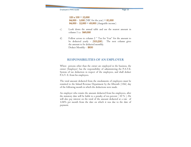$320 \times 100 = 32,000$ **84,000 - 3,000** (NIC for the year) =  $81,000$ 84,000 -  $32,000 = 49,000$  (chargeable income)

- c) Look down the annual table and use the nearest amount in column 1 i.e. \$49,000
- d) Follow across to column 2 " Tax for Year" for the amount to be deducted yearly - (\$10,200). The next column gives the amount to be deducted monthly. Deduct Monthly - \$850

#### **RESPONSIBILITIES OF AN EMPLOYER**

Where persons other than the owner are employed in the business, the owner (Employer) has the responsibility of administering the P.A.Y.E. System of tax deduction in respect of the employees, and shall deduct P.A.Y. E. from his employees.

The total amount deducted from the emoluments of employees must be remitted to the Inland Revenue Department by the fifteenth (15th) day of the following month in which the deductions were made.

An employer who remits the amount deducted from his employees, after the statutory date will be liable to a penalty of ten percent  $(10\%)$ . He will also pay interest on the total of the amount deducted at a rate of 1.04% per month from the date on which it was due to the date of payment.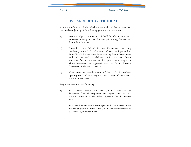#### **ISSUANCE OF TD 5 CERTIFICATES**

At the end of the year during which tax was deducted, but no later than the last day of January of the following year, the employer must :

- a) Issue the original and one copy of the T.D.5 Certificate to each employee showing total emoluments paid during the year and the total tax deducted;
- b) Forward to the Inland Revenue Department one copy (triplicate) of the T.D.5 Certificate of each employee and an Annual P.A.Y.E. Remittance Form showing the total emolument paid and the total tax deducted during the year. Forms prescribed for this purpose will be posted to all employers whose businesses are registered with the Inland Revenue Department at the end of the year.
- c) Place within his records a copy of the T. D. 5 Certificate (quadruplicate) of each employee and a copy of the Annual P.A.Y.E. Remittance.

Employers must note the following :

- a) Total taxes shown on the T.D.5 Certificates as deductions from all employees must agree with the total P.A.Y.E. remitted to the Inland Revenue for the income year.
- b) Total emoluments shown must agree with the records of the business and with the total of the T.D.5 Certificates attached to the Annual Remittance Form.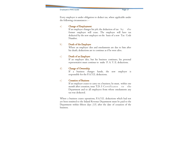Employee's PAYE Guide **Page 17** 

Every employer is under obligation to deduct tax, where applicable under the following circumstances : -

#### a) Change of Employment

If an employee changes his job, the deduction of  $\text{tax } by \text{ }$  the former employer will cease. The employee will have tax deducted by the new employer on the basis of a new Tax Code Number.

#### b) Death of the Employee

 Where an employee dies and emoluments are due to him after his death, deductions are to continue as if he were alive.

#### c) Death of an Employer

 If an employer dies, but his business continues, his personal representative must continue to make P. A. Y. E. deductions.

#### d) Change of Ownership

 If a business changes hands, the new employer is responsible for the P.A.Y.E. deductions.

#### e) Cessation of Business

 If an employer ceases to carry on a business, he must, within one month after cessation, issue  $T.D. 5$  Certificates to the Department and to all employees from whose emoluments any tax was deducted.

Where a business ceases operations, P.A.Y.E. deductions which had not yet been remitted to the Inland Revenue Department must be paid to the Department within fifteen days (15) after the date of cessation of the business.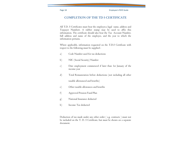### **COMPLETION OF THE TD 5 CERTIFICATE**

All T.D. 5 Certificates must bear the employer,s legal name, address and Taxpayer Numberr. A rubber stamp may be used to affix this information. The certificate should also bear the Tax Account Number, full address and name of the employee, and the year to which the information pertains.

Where applicable, information requested on the T.D.5 Certificate with respect to the following must be supplied :

- a) Code Number used for tax deductions
- b) NIC (Social Security) Number
- c) Date employment commenced if later than 1st January of the income year
- d) Total Remuneration before deductions (not including all other

taxable allowanced and benefits)

- e) Other taxable allowances and benefits
- f) Approved Pension Fund Plan
- g) National Insurance deducted
- h) Income Tax deducted

Deduction of tax made under any other order ( e.g. contracts ) must not be included on the T. D. 5 Certificate, but must be shown on a separate document.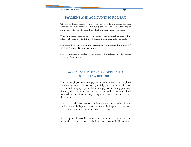#### **PAYMENT AND ACCOUNTING FOR TAX**

All taxes deducted must be paid by the employer to the Inland Revenue Department on or before the stipulated date, i.e. fifteenth (15th) day of the month following the month in which the deductions were made.

Where a person ceases to carry on business, the tax must be paid within fifteen (15) days on which the last payment of emoluments was made.

The prescribed form which must accompany each payment is the P30 / P.A.Y.E. Monthly Remittance Form.

This Remittance is posted to all registered employers by the Inland Revenue Department.

### **ACCOUNTING FOR TAX DEDUCTED & KEEPING RECORDS**

When an employer makes any payment of emoluments to an employee from which tax is deducted as required by the Regulations, he shall furnish to the employee particulars of the payment including particulars of the gross emoluments for the pay period and the amount of tax deducted, in such form as may be approved by the Inland Revenue Department.

A record of all payments of emoluments and taxes deducted from employees must be kept to the satisfaction of the Department. All such records must be kept on the premises of the employer.

Upon request, all records relating to the payment of emoluments and taxes deducted must be made available for inspection by the Department.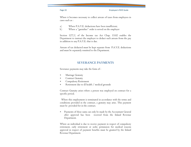Where it becomes necessary to collect arrears of taxes from employees in cases such as :

- a) Where P.A.Y.E. deductions have been insufficient;
- b) Where a "garnishee" order is served on the employer

Section 127(1) of the Income tax Act Chap. 15.02 enables the Department to instruct the employer to deduct such arrears from the pay in addition to any P.A.Y.E. that is due.

Arrears of tax deducted must be kept separate from P.A.Y.E. deductions and must be separately remitted to the Department.

#### **SEVERANCE PAYMENTS**

Severance payments may take the form of :

- Marriage Gratuity
- Contract Gratuity
- Compulsory Retirement
- Retirement due to ill health / medical grounds

Contract Gratuity arises where a person was employed on contract for a specific period.

 Where this employment is terminated in accordance with the terms and conditions provided in the contract, a gratuity may arise. This payment must be provided for in the contract.

 Payments of these sums can only be made by the Accountant General after approval has been received from the Inland Revenue Department.

Where an individual is due to receive payment in respect of compulsory retirement, early retirement or seeks permission for medical reasons approval in respect of payment benefits must be granted by the Inland Revenue Department.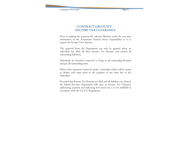### **CONTRACT GRATUITY - INCOME TAX CLEARANCE**

Prior to making the payment the relevant Ministry sends the necessary information to the Accountant General whose responsibility it is to request the Income Tax Clearance.

The approval from the Department can only be granted where an individual has filed all their Income Tax Returns and cleared all outstanding liabilities.

Individuals are therefore requested to bring in all outstanding Returns and pay all outstanding sums.

Where these payments cannot be made, a Garnishee Order will be issued to deduct such sums prior to the payment of any sums due to the individual.

Provided that Income Tax Returns are filed and all liabilities are cleared, the Inland Revenue Department will issue an Income Tax Clearance authorizing payment and indicating how much tax is to be withheld in accordance with the P.A.Y.E. Regulations.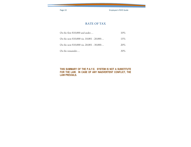Page 22 **Employee's PAYE Guide** 

### **RATE OF TAX**

| On the first \$10,000 and under              | $10\%$ |
|----------------------------------------------|--------|
| On the next $$10,000$ viz. $10,001 - 20,000$ | 15%    |
| On the next $$10,000$ viz. 20,001 - 30,000   | $20\%$ |
| On the remainder                             | $30\%$ |

#### **THIS SUMMARY OF THE P.A.Y.E. SYSTEM IS NOT A SUBSTITUTE FOR THE LAW. IN CASE OF ANY INADVERTENT CONFLICT, THE LAW PREVAILS.**